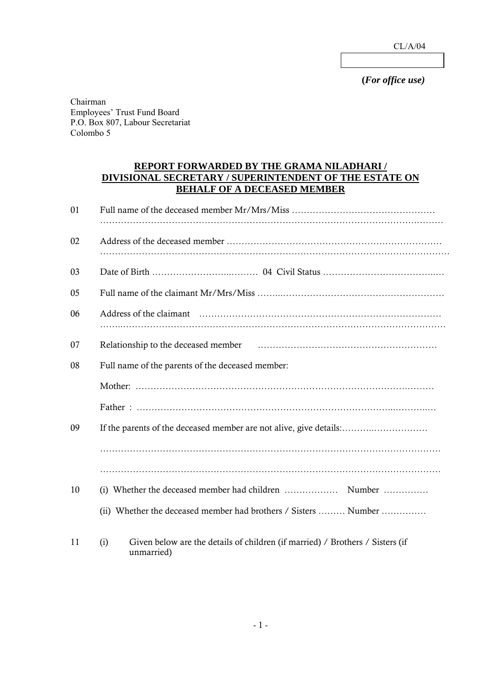CL/A/04

 **(***For office use)* 

Chairman Employees' Trust Fund Board P.O. Box 807, Labour Secretariat Colombo 5

## **REPORT FORWARDED BY THE GRAMA NILADHARI / DIVISIONAL SECRETARY / SUPERINTENDENT OF THE ESTATE ON BEHALF OF A DECEASED MEMBER**

| 01 |                                                                                                    |
|----|----------------------------------------------------------------------------------------------------|
| 02 |                                                                                                    |
| 03 |                                                                                                    |
| 05 |                                                                                                    |
| 06 |                                                                                                    |
| 07 |                                                                                                    |
| 08 | Full name of the parents of the deceased member:                                                   |
|    |                                                                                                    |
|    |                                                                                                    |
| 09 | If the parents of the deceased member are not alive, give details:                                 |
|    |                                                                                                    |
|    |                                                                                                    |
| 10 |                                                                                                    |
|    | (ii) Whether the deceased member had brothers / Sisters  Number                                    |
| 11 | Given below are the details of children (if married) / Brothers / Sisters (if<br>(i)<br>unmarried) |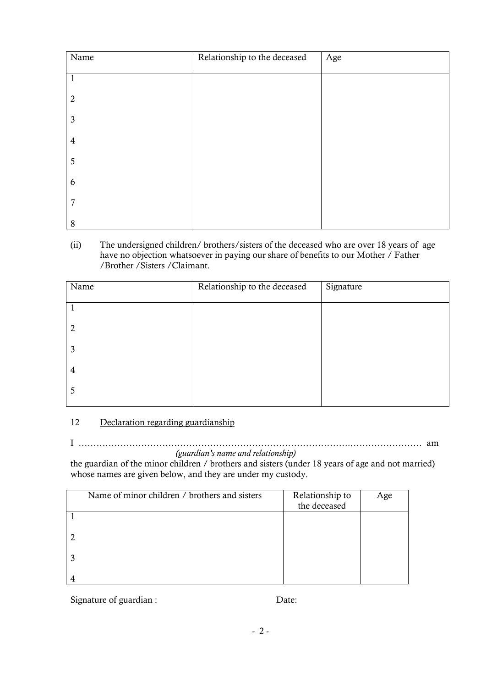| Name           | Relationship to the deceased | Age |
|----------------|------------------------------|-----|
| $\mathbf{1}$   |                              |     |
| $\overline{2}$ |                              |     |
| $\mathfrak{Z}$ |                              |     |
| $\overline{4}$ |                              |     |
| 5              |                              |     |
| 6              |                              |     |
| 7              |                              |     |
| 8              |                              |     |

(ii) The undersigned children/ brothers/sisters of the deceased who are over 18 years of age have no objection whatsoever in paying our share of benefits to our Mother / Father /Brother /Sisters /Claimant.

| Name | Relationship to the deceased | Signature |
|------|------------------------------|-----------|
|      |                              |           |
| 2    |                              |           |
| 3    |                              |           |
| 4    |                              |           |
| 5    |                              |           |

## 12 Declaration regarding guardianship

I ……………………………………………………………………………….…………………… am

*(guardian's name and relationship)* 

the guardian of the minor children / brothers and sisters (under 18 years of age and not married) whose names are given below, and they are under my custody.

| Name of minor children / brothers and sisters | Relationship to<br>the deceased | Age |
|-----------------------------------------------|---------------------------------|-----|
|                                               |                                 |     |
|                                               |                                 |     |
|                                               |                                 |     |
|                                               |                                 |     |

Signature of guardian : Date: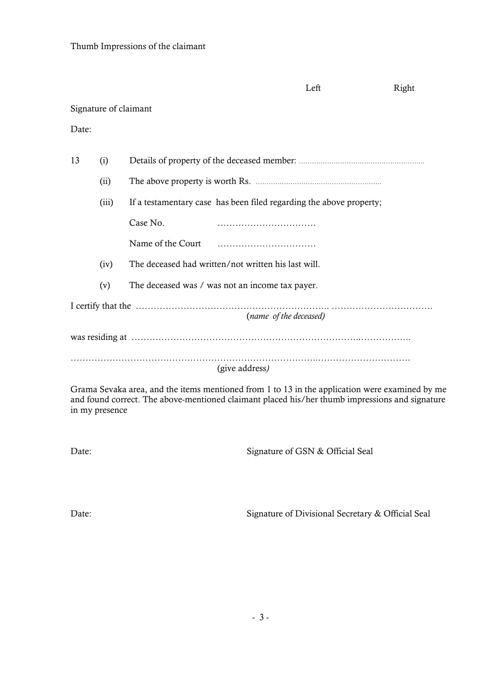|       |                        |                                                                     | Left | Right |  |  |
|-------|------------------------|---------------------------------------------------------------------|------|-------|--|--|
|       | Signature of claimant  |                                                                     |      |       |  |  |
| Date: |                        |                                                                     |      |       |  |  |
| 13    | (i)                    |                                                                     |      |       |  |  |
|       | (ii)                   |                                                                     |      |       |  |  |
|       | (iii)                  | If a testamentary case has been filed regarding the above property; |      |       |  |  |
|       |                        | Case No.                                                            |      |       |  |  |
|       |                        | Name of the Court                                                   |      |       |  |  |
|       | (iv)                   | The deceased had written/not written his last will.                 |      |       |  |  |
|       | (v)                    | The deceased was / was not an income tax payer.                     |      |       |  |  |
|       | (name of the deceased) |                                                                     |      |       |  |  |
|       |                        |                                                                     |      |       |  |  |
|       |                        | (give address)                                                      |      |       |  |  |

Grama Sevaka area, and the items mentioned from 1 to 13 in the application were examined by me and found correct. The above-mentioned claimant placed his/her thumb impressions and signature in my presence

Date: Signature of GSN & Official Seal

Date: Signature of Divisional Secretary & Official Seal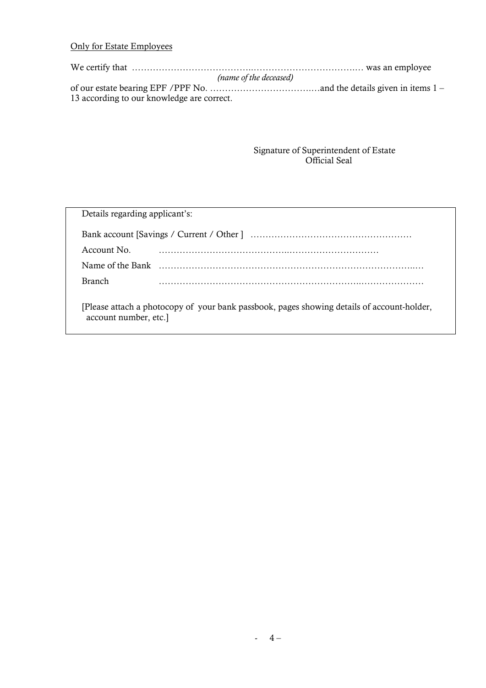## Only for Estate Employees

We certify that …………………………………………………………………………… was an employee *(name of the deceased)*  of our estate bearing EPF /PPF No. …………………………….…and the details given in items 1 – 13 according to our knowledge are correct.

### Signature of Superintendent of Estate Official Seal

| Details regarding applicant's:                                                                                      |  |  |  |  |
|---------------------------------------------------------------------------------------------------------------------|--|--|--|--|
|                                                                                                                     |  |  |  |  |
| Account No.                                                                                                         |  |  |  |  |
|                                                                                                                     |  |  |  |  |
| <b>Branch</b>                                                                                                       |  |  |  |  |
| [Please attach a photocopy of your bank passbook, pages showing details of account-holder,<br>account number, etc.] |  |  |  |  |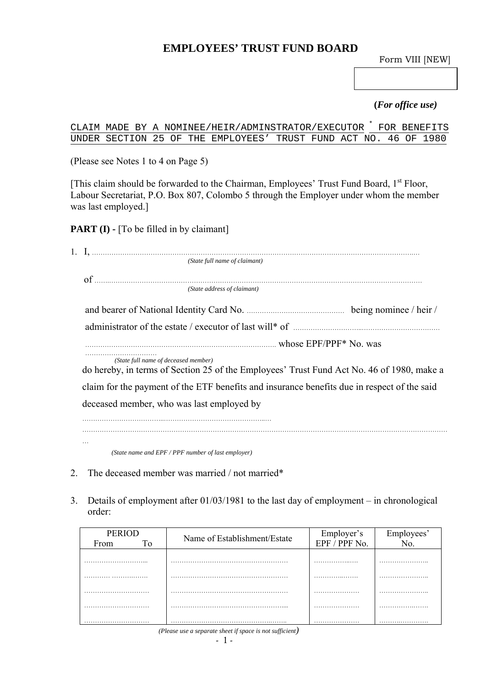# **EMPLOYEES' TRUST FUND BOARD**

Form VIII [NEW]

## **(***For office use)*

CLAIM MADE BY A NOMINEE/HEIR/ADMINSTRATOR/EXECUTOR FOR BENEFITS UNDER SECTION 25 OF THE EMPLOYEES' TRUST FUND ACT NO.

(Please see Notes 1 to 4 on Page 5)

[This claim should be forwarded to the Chairman, Employees' Trust Fund Board, 1<sup>st</sup> Floor, Labour Secretariat, P.O. Box 807, Colombo 5 through the Employer under whom the member was last employed.]

**PART (I) - [To be filled in by claimant]** 

| (State full name of claimant)                                                                                                     |
|-----------------------------------------------------------------------------------------------------------------------------------|
|                                                                                                                                   |
|                                                                                                                                   |
| (State address of claimant)                                                                                                       |
|                                                                                                                                   |
|                                                                                                                                   |
|                                                                                                                                   |
| (State full name of deceased member)<br>do hereby, in terms of Section 25 of the Employees' Trust Fund Act No. 46 of 1980, make a |
| claim for the payment of the ETF benefits and insurance benefits due in respect of the said                                       |
| deceased member, who was last employed by                                                                                         |
|                                                                                                                                   |
|                                                                                                                                   |
|                                                                                                                                   |

*(State name and EPF / PPF number of last employer)* 

- 2. The deceased member was married / not married\*
- 3. Details of employment after 01/03/1981 to the last day of employment in chronological order:

| <b>PERIOD</b><br>From<br>Tο | Name of Establishment/Estate | Employer's<br>EPF / PPF No. | Employees'<br>No. |
|-----------------------------|------------------------------|-----------------------------|-------------------|
|                             |                              |                             |                   |
|                             |                              |                             |                   |
|                             |                              |                             |                   |
|                             |                              |                             |                   |
| $\sqrt{2}$                  |                              |                             |                   |

*(Please use a separate sheet if space is not sufficient)*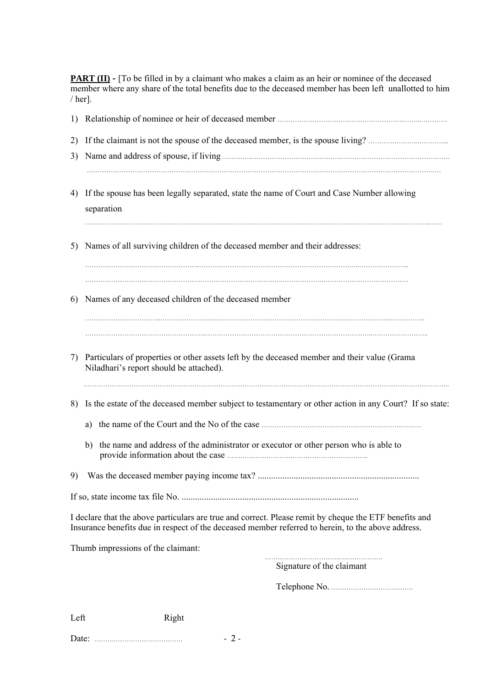**PART (II)** - [To be filled in by a claimant who makes a claim as an heir or nominee of the deceased member where any share of the total benefits due to the deceased member has been left unallotted to him / her].

| 2)<br>3) |    |                                                                                                                                                                                                              |
|----------|----|--------------------------------------------------------------------------------------------------------------------------------------------------------------------------------------------------------------|
| 4)       |    | If the spouse has been legally separated, state the name of Court and Case Number allowing<br>separation                                                                                                     |
| 5)       |    | Names of all surviving children of the deceased member and their addresses:                                                                                                                                  |
| 6)       |    | Names of any deceased children of the deceased member                                                                                                                                                        |
| 7)       |    | Particulars of properties or other assets left by the deceased member and their value (Grama<br>Niladhari's report should be attached).                                                                      |
| 8)       |    | Is the estate of the deceased member subject to testamentary or other action in any Court? If so state:                                                                                                      |
|          | a) |                                                                                                                                                                                                              |
|          | b) | the name and address of the administrator or executor or other person who is able to                                                                                                                         |
|          |    |                                                                                                                                                                                                              |
|          |    |                                                                                                                                                                                                              |
|          |    | I declare that the above particulars are true and correct. Please remit by cheque the ETF benefits and<br>Insurance benefits due in respect of the deceased member referred to herein, to the above address. |
|          |    | Thumb impressions of the claimant:                                                                                                                                                                           |
|          |    | Signature of the claimant                                                                                                                                                                                    |
|          |    |                                                                                                                                                                                                              |
| Left     |    | Right                                                                                                                                                                                                        |

Date: ……….…………………………. - 2 -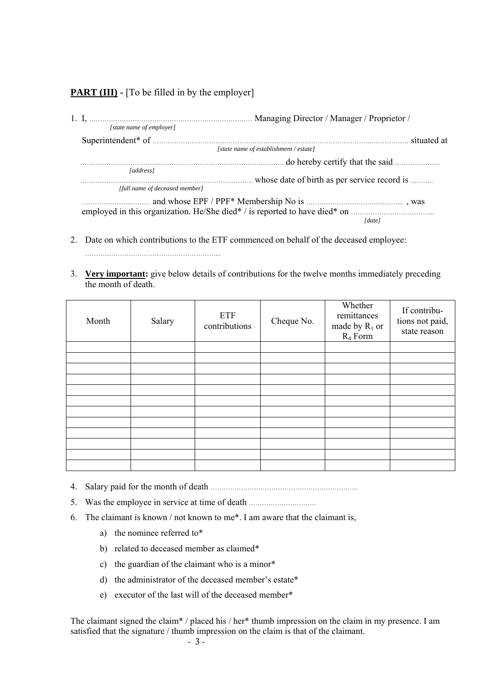## **PART (III)** - [To be filled in by the employer]

|                                | Managing Director / Manager / Proprietor /   |             |
|--------------------------------|----------------------------------------------|-------------|
| [state name of employer]       |                                              |             |
|                                |                                              | situated at |
|                                | [state name of establishment / estate]       |             |
|                                |                                              |             |
| [address]                      |                                              |             |
|                                | whose date of birth as per service record is |             |
| [full name of deceased member] |                                              |             |
|                                |                                              |             |
|                                |                                              |             |
|                                |                                              | [date]      |
|                                |                                              |             |

- 2. Date on which contributions to the ETF commenced on behalf of the deceased employee: ……………………………………………………...
- 3. **Very important:** give below details of contributions for the twelve months immediately preceding the month of death.

| Month | Salary | ETF<br>contributions | Cheque No. | Whether<br>remittances<br>made by $R_1$ or<br>$R_4$ Form | If contribu-<br>tions not paid,<br>state reason |
|-------|--------|----------------------|------------|----------------------------------------------------------|-------------------------------------------------|
|       |        |                      |            |                                                          |                                                 |
|       |        |                      |            |                                                          |                                                 |
|       |        |                      |            |                                                          |                                                 |
|       |        |                      |            |                                                          |                                                 |
|       |        |                      |            |                                                          |                                                 |
|       |        |                      |            |                                                          |                                                 |
|       |        |                      |            |                                                          |                                                 |
|       |        |                      |            |                                                          |                                                 |
|       |        |                      |            |                                                          |                                                 |
|       |        |                      |            |                                                          |                                                 |
|       |        |                      |            |                                                          |                                                 |
|       |        |                      |            |                                                          |                                                 |

- 4. Salary paid for the month of death …………………………………………………………..
- 5. Was the employee in service at time of death ………………………….
- 6. The claimant is known / not known to me\*. I am aware that the claimant is,
	- a) the nominee referred to\*
	- b) related to deceased member as claimed\*
	- c) the guardian of the claimant who is a minor\*
	- d) the administrator of the deceased member's estate\*
	- e) executor of the last will of the deceased member\*

The claimant signed the claim\* / placed his / her\* thumb impression on the claim in my presence. I am satisfied that the signature / thumb impression on the claim is that of the claimant.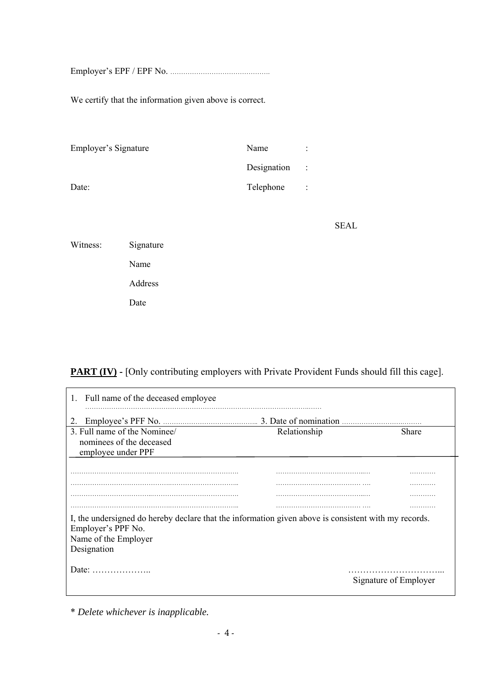Employer's EPF / EPF No. ……………………………………….

We certify that the information given above is correct.

| Employer's Signature | Name        | ÷                    |
|----------------------|-------------|----------------------|
|                      | Designation | $\mathbb{R}^2$       |
| Date:                | Telephone   | $\ddot{\phantom{a}}$ |

**SEAL** 

Witness: Signature Name Address Date

## **PART (IV)** - [Only contributing employers with Private Provident Funds should fill this cage].

| 1. Full name of the deceased employee                                                                |              |                       |
|------------------------------------------------------------------------------------------------------|--------------|-----------------------|
| 2.                                                                                                   |              |                       |
| 3. Full name of the Nominee/                                                                         | Relationship | <b>Share</b>          |
| nominees of the deceased<br>employee under PPF                                                       |              |                       |
|                                                                                                      |              |                       |
|                                                                                                      |              |                       |
|                                                                                                      |              |                       |
|                                                                                                      |              |                       |
|                                                                                                      |              |                       |
| I, the undersigned do hereby declare that the information given above is consistent with my records. |              |                       |
| Employer's PPF No.                                                                                   |              |                       |
| Name of the Employer                                                                                 |              |                       |
| Designation                                                                                          |              |                       |
|                                                                                                      |              |                       |
| Date: $\dots\dots\dots\dots\dots\dots\dots$                                                          |              | Signature of Employer |

\* *Delete whichever is inapplicable.*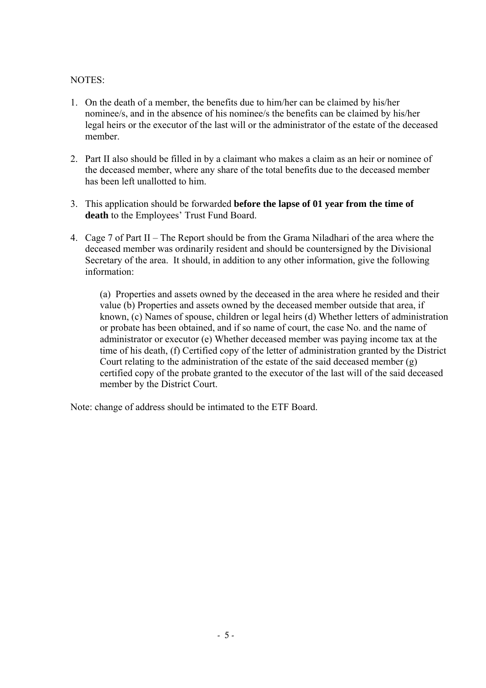## NOTES:

- 1. On the death of a member, the benefits due to him/her can be claimed by his/her nominee/s, and in the absence of his nominee/s the benefits can be claimed by his/her legal heirs or the executor of the last will or the administrator of the estate of the deceased member.
- 2. Part II also should be filled in by a claimant who makes a claim as an heir or nominee of the deceased member, where any share of the total benefits due to the deceased member has been left unallotted to him.
- 3. This application should be forwarded **before the lapse of 01 year from the time of death** to the Employees' Trust Fund Board.
- 4. Cage 7 of Part II The Report should be from the Grama Niladhari of the area where the deceased member was ordinarily resident and should be countersigned by the Divisional Secretary of the area. It should, in addition to any other information, give the following information:

(a) Properties and assets owned by the deceased in the area where he resided and their value (b) Properties and assets owned by the deceased member outside that area, if known, (c) Names of spouse, children or legal heirs (d) Whether letters of administration or probate has been obtained, and if so name of court, the case No. and the name of administrator or executor (e) Whether deceased member was paying income tax at the time of his death, (f) Certified copy of the letter of administration granted by the District Court relating to the administration of the estate of the said deceased member (g) certified copy of the probate granted to the executor of the last will of the said deceased member by the District Court.

Note: change of address should be intimated to the ETF Board.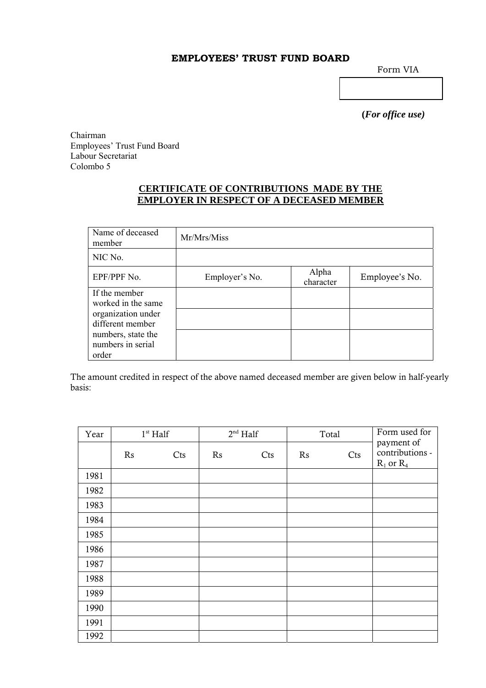## **EMPLOYEES' TRUST FUND BOARD**

Form VIA

 **(***For office use)* 

Chairman Employees' Trust Fund Board Labour Secretariat Colombo 5

## **CERTIFICATE OF CONTRIBUTIONS MADE BY THE EMPLOYER IN RESPECT OF A DECEASED MEMBER**

| Name of deceased<br>member                       | Mr/Mrs/Miss    |                    |                |
|--------------------------------------------------|----------------|--------------------|----------------|
| NIC No.                                          |                |                    |                |
| EPF/PPF No.                                      | Employer's No. | Alpha<br>character | Employee's No. |
| If the member<br>worked in the same              |                |                    |                |
| organization under<br>different member           |                |                    |                |
| numbers, state the<br>numbers in serial<br>order |                |                    |                |

The amount credited in respect of the above named deceased member are given below in half-yearly basis:

| Year | $1st$ Half |     | $2nd$ Half |     | Total |     | Form used for                                   |
|------|------------|-----|------------|-----|-------|-----|-------------------------------------------------|
|      | Rs         | Cts | Rs         | Cts | Rs    | Cts | payment of<br>contributions -<br>$R_1$ or $R_4$ |
| 1981 |            |     |            |     |       |     |                                                 |
| 1982 |            |     |            |     |       |     |                                                 |
| 1983 |            |     |            |     |       |     |                                                 |
| 1984 |            |     |            |     |       |     |                                                 |
| 1985 |            |     |            |     |       |     |                                                 |
| 1986 |            |     |            |     |       |     |                                                 |
| 1987 |            |     |            |     |       |     |                                                 |
| 1988 |            |     |            |     |       |     |                                                 |
| 1989 |            |     |            |     |       |     |                                                 |
| 1990 |            |     |            |     |       |     |                                                 |
| 1991 |            |     |            |     |       |     |                                                 |
| 1992 |            |     |            |     |       |     |                                                 |